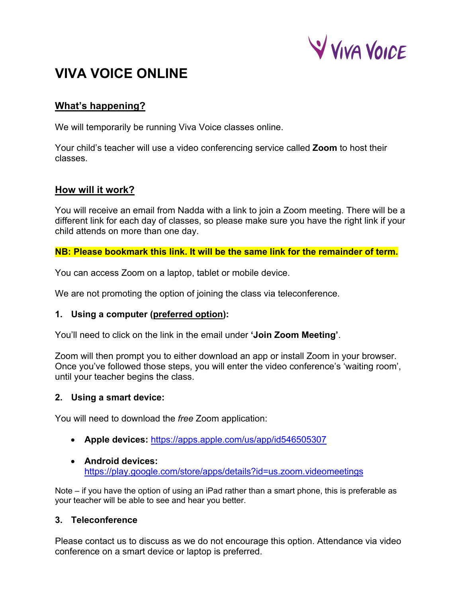

# **VIVA VOICE ONLINE**

# **What's happening?**

We will temporarily be running Viva Voice classes online.

Your child's teacher will use a video conferencing service called **Zoom** to host their classes.

## **How will it work?**

You will receive an email from Nadda with a link to join a Zoom meeting. There will be a different link for each day of classes, so please make sure you have the right link if your child attends on more than one day.

**NB: Please bookmark this link. It will be the same link for the remainder of term.**

You can access Zoom on a laptop, tablet or mobile device.

We are not promoting the option of joining the class via teleconference.

## **1. Using a computer (preferred option):**

You'll need to click on the link in the email under **'Join Zoom Meeting'**.

Zoom will then prompt you to either download an app or install Zoom in your browser. Once you've followed those steps, you will enter the video conference's 'waiting room', until your teacher begins the class.

#### **2. Using a smart device:**

You will need to download the *free* Zoom application:

- **Apple devices:** https://apps.apple.com/us/app/id546505307
- **Android devices:** https://play.google.com/store/apps/details?id=us.zoom.videomeetings

Note – if you have the option of using an iPad rather than a smart phone, this is preferable as your teacher will be able to see and hear you better.

## **3. Teleconference**

Please contact us to discuss as we do not encourage this option. Attendance via video conference on a smart device or laptop is preferred.